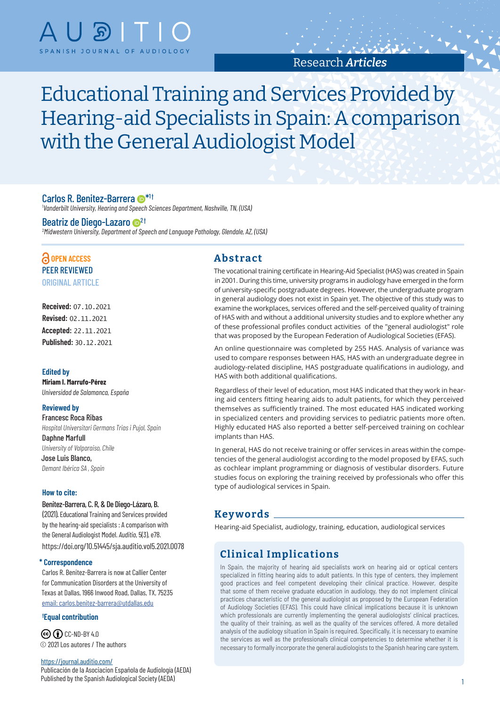

# Research *Articles*

Educational Training and Services Provided by Hearing-aid Specialists in Spain: A comparison with the General Audiologist Model

### Carlos R. Benitez-Barrera  $\mathbf{D}^{*1\dagger}$

1 *Vanderbilt University, Hearing and Speech Sciences Department, Nashville, TN, (USA)*

#### Beatriz de Diego-Lazaro <sup>1</sup>

2 *Midwestern University, Department of Speech and Language Pathology, Glendale, AZ, (USA)*

## **OPEN ACCESS** PEER REVIEWED ORIGINAL ARTICLE

**Received:** 07.10.2021 **Revised:** 02.11.2021 **Accepted:** 22.11.2021 **Published:** 30.12.2021

#### **Edited by**

**Miriam I. Marrufo-Pérez** *Universidad de Salamanca, España*

#### **Reviewed by**

Francesc Roca Ribas *Hospital Universitari Germans Trias i Pujol, Spain* Daphne Marfull *University of Valparaiso, Chile* Jose Luis Blanco, *Demant Ibérica SA , Spain*

#### **How to cite:**

Benitez-Barrera, C. R, & De Diego-Lázaro, B. (2021). Educational Training and Services provided by the hearing-aid specialists : A comparison with the General Audiologist Model. *Auditio*, 5(3), e78. <https://doi.org/10.51445/sja.auditio.vol5.2021.0078>

#### **\* Correspondence**

Carlos R. Benitez-Barrera is now at Callier Center for Communication Disorders at the University of Texas at Dallas, 1966 Inwood Road, Dallas, TX, 75235 email: [carlos.benitez-barrera@utdallas.edu](mailto:carlos.benitez-barrera@utdallas.edu)

#### **† Equal contribution**

 $\odot$   $\odot$   $\odot$  [CC-ND-BY 4.0](https://creativecommons.org/licenses/by-nd/4.0/ ) © 2021 Los autores / The authors

#### <https://journal.auditio.com/>

Publicación de la Asociacion Española de Audiología (AEDA) Published by the Spanish Audiological Society (AEDA)

### **Abstract**

The vocational training certificate in Hearing-Aid Specialist (HAS) was created in Spain in 2001. During this time, university programs in audiology have emerged in the form of university-specific postgraduate degrees. However, the undergraduate program in general audiology does not exist in Spain yet. The objective of this study was to examine the workplaces, services offered and the self-perceived quality of training of HAS with and without a additional university studies and to explore whether any of these professional profiles conduct activities of the "general audiologist" role that was proposed by the European Federation of Audiological Societies (EFAS).

An online questionnaire was completed by 255 HAS. Analysis of variance was used to compare responses between HAS, HAS with an undergraduate degree in audiology-related discipline, HAS postgraduate qualifications in audiology, and HAS with both additional qualifications.

Regardless of their level of education, most HAS indicated that they work in hearing aid centers fitting hearing aids to adult patients, for which they perceived themselves as sufficiently trained. The most educated HAS indicated working in specialized centers and providing services to pediatric patients more often. Highly educated HAS also reported a better self-perceived training on cochlear implants than HAS.

In general, HAS do not receive training or offer services in areas within the competencies of the general audiologist according to the model proposed by EFAS, such as cochlear implant programming or diagnosis of vestibular disorders. Future studies focus on exploring the training received by professionals who offer this type of audiological services in Spain.

## **Keywords**

Hearing-aid Specialist, audiology, training, education, audiological services

# **Clinical Implications**

In Spain, the majority of hearing aid specialists work on hearing aid or optical centers specialized in fitting hearing aids to adult patients. In this type of centers, they implement good practices and feel competent developing their clinical practice. However, despite that some of them receive graduate education in audiology, they do not implement clinical practices characteristic of the general audiologist as proposed by the European Federation of Audiology Societies (EFAS). This could have clinical implications because it is unknown which professionals are currently implementing the general audiologists' clinical practices, the quality of their training, as well as the quality of the services offered. A more detailed analysis of the audiology situation in Spain is required. Specifically, it is necessary to examine the services as well as the professional's clinical competencies to determine whether it is necessary to formally incorporate the general audiologists to the Spanish hearing care system.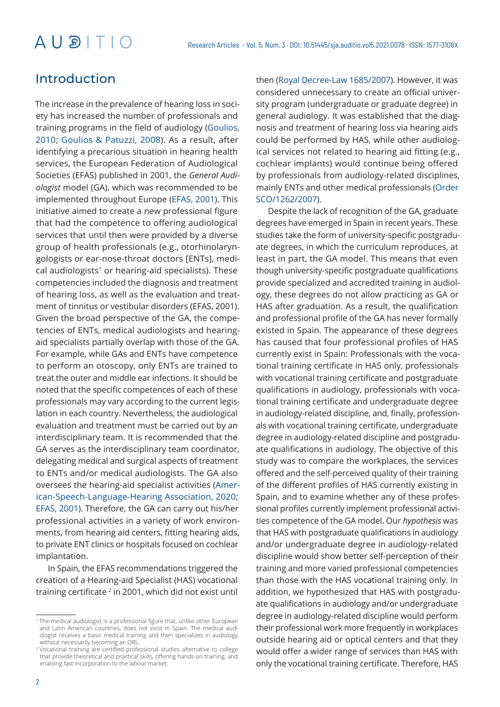# Introduction

The increase in the prevalence of hearing loss in society has increased the number of professionals and training programs in the field of audiology (Goulios, 2010; Goulios & Patuzzi, 2008). As a result, after identifying a precarious situation in hearing health services, the European Federation of Audiological Societies (EFAS) published in 2001, the *General Audiologist* model (GA), which was recommended to be implemented throughout Europe (EFAS, 2001). This initiative aimed to create a new professional figure that had the competence to offering audiological services that until then were provided by a diverse group of health professionals (e.g., otorhinolaryngologists or ear-nose-throat doctors [ENTs], medi $cal$  audiologists<sup>1</sup> or hearing-aid specialists). These competencies included the diagnosis and treatment of hearing loss, as well as the evaluation and treatment of tinnitus or vestibular disorders (EFAS, 2001). Given the broad perspective of the GA, the competencies of ENTs, medical audiologists and hearingaid specialists partially overlap with those of the GA. For example, while GAs and ENTs have competence to perform an otoscopy, only ENTs are trained to treat the outer and middle ear infections. It should be noted that the specific competences of each of these professionals may vary according to the current legislation in each country. Nevertheless, the audiological evaluation and treatment must be carried out by an interdisciplinary team. It is recommended that the GA serves as the interdisciplinary team coordinator, delegating medical and surgical aspects of treatment to ENTs and/or medical audiologists. The GA also oversees the hearing-aid specialist activities (American-Speech-Language-Hearing Association, 2020; EFAS, 2001). Therefore, the GA can carry out his/her professional activities in a variety of work environments, from hearing aid centers, fitting hearing aids, to private ENT clinics or hospitals focused on cochlear implantation.

In Spain, the EFAS recommendations triggered the creation of a Hearing-aid Specialist (HAS) vocational training certificate<sup>2</sup> in 2001, which did not exist until then (Royal Decree-Law 1685/2007). However, it was considered unnecessary to create an official university program (undergraduate or graduate degree) in general audiology. It was established that the diagnosis and treatment of hearing loss via hearing aids could be performed by HAS, while other audiological services not related to hearing aid fitting (e.g., cochlear implants) would continue being offered by professionals from audiology-related disciplines, mainly ENTs and other medical professionals (Order SCO/1262/2007).

Despite the lack of recognition of the GA, graduate degrees have emerged in Spain in recent years. These studies take the form of university-specific postgraduate degrees, in which the curriculum reproduces, at least in part, the GA model. This means that even though university-specific postgraduate qualifications provide specialized and accredited training in audiology, these degrees do not allow practicing as GA or HAS after graduation. As a result, the qualification and professional profile of the GA has never formally existed in Spain. The appearance of these degrees has caused that four professional profiles of HAS currently exist in Spain: Professionals with the vocational training certificate in HAS only, professionals with vocational training certificate and postgraduate qualifications in audiology, professionals with vocational training certificate and undergraduate degree in audiology-related discipline, and, finally, professionals with vocational training certificate, undergraduate degree in audiology-related discipline and postgraduate qualifications in audiology. The objective of this study was to compare the workplaces, the services offered and the self-perceived quality of their training of the different profiles of HAS currently existing in Spain, and to examine whether any of these professional profiles currently implement professional activities competence of the GA model. Our *hypothesis* was that HAS with postgraduate qualifications in audiology and/or undergraduate degree in audiology-related discipline would show better self-perception of their training and more varied professional competencies than those with the HAS vocational training only. In addition, we hypothesized that HAS with postgraduate qualifications in audiology and/or undergraduate degree in audiology-related discipline would perform their professional work more frequently in workplaces outside hearing aid or optical centers and that they would offer a wider range of services than HAS with only the vocational training certificate. Therefore, HAS

<sup>&</sup>lt;sup>1</sup> The medical audiologist is a professional figure that, unlike other European and Latin American countries, does not exist in Spain. The medical audiologist receives a basic medical training and then specializes in audiology, without necessarily becoming an ORL.

<sup>2</sup> Vocational training are certified professional studies alternative to college that provide theoretical and practical skills, offering hands-on training, and enabling fast incorporation to the labour market.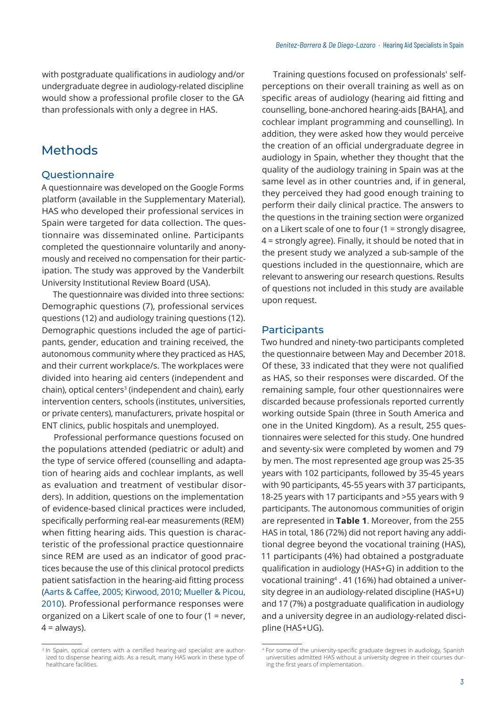with postgraduate qualifications in audiology and/or undergraduate degree in audiology-related discipline would show a professional profile closer to the GA than professionals with only a degree in HAS.

# Methods

### **Questionnaire**

A questionnaire was developed on the Google Forms platform (available in the Supplementary Material). HAS who developed their professional services in Spain were targeted for data collection. The questionnaire was disseminated online. Participants completed the questionnaire voluntarily and anonymously and received no compensation for their participation. The study was approved by the Vanderbilt University Institutional Review Board (USA).

The questionnaire was divided into three sections: Demographic questions (7), professional services questions (12) and audiology training questions (12). Demographic questions included the age of participants, gender, education and training received, the autonomous community where they practiced as HAS, and their current workplace/s. The workplaces were divided into hearing aid centers (independent and chain), optical centers<sup>3</sup> (independent and chain), early intervention centers, schools (institutes, universities, or private centers), manufacturers, private hospital or ENT clinics, public hospitals and unemployed.

Professional performance questions focused on the populations attended (pediatric or adult) and the type of service offered (counselling and adaptation of hearing aids and cochlear implants, as well as evaluation and treatment of vestibular disorders). In addition, questions on the implementation of evidence-based clinical practices were included, specifically performing real-ear measurements (REM) when fitting hearing aids. This question is characteristic of the professional practice questionnaire since REM are used as an indicator of good practices because the use of this clinical protocol predicts patient satisfaction in the hearing-aid fitting process (Aarts & Caffee, 2005; Kirwood, 2010; Mueller & Picou, 2010). Professional performance responses were organized on a Likert scale of one to four (1 = never,  $4 =$  always).

Training questions focused on professionals' selfperceptions on their overall training as well as on specific areas of audiology (hearing aid fitting and counselling, bone-anchored hearing-aids [BAHA], and cochlear implant programming and counselling). In addition, they were asked how they would perceive the creation of an official undergraduate degree in audiology in Spain, whether they thought that the quality of the audiology training in Spain was at the same level as in other countries and, if in general, they perceived they had good enough training to perform their daily clinical practice. The answers to the questions in the training section were organized on a Likert scale of one to four (1 = strongly disagree, 4 = strongly agree). Finally, it should be noted that in the present study we analyzed a sub-sample of the questions included in the questionnaire, which are relevant to answering our research questions. Results of questions not included in this study are available upon request.

### **Participants**

Two hundred and ninety-two participants completed the questionnaire between May and December 2018. Of these, 33 indicated that they were not qualified as HAS, so their responses were discarded. Of the remaining sample, four other questionnaires were discarded because professionals reported currently working outside Spain (three in South America and one in the United Kingdom). As a result, 255 questionnaires were selected for this study. One hundred and seventy-six were completed by women and 79 by men. The most represented age group was 25-35 years with 102 participants, followed by 35-45 years with 90 participants, 45-55 years with 37 participants, 18-25 years with 17 participants and >55 years with 9 participants. The autonomous communities of origin are represented in **Table 1**. Moreover, from the 255 HAS in total, 186 (72%) did not report having any additional degree beyond the vocational training (HAS), 11 participants (4%) had obtained a postgraduate qualification in audiology (HAS+G) in addition to the vocational training4 . 41 (16%) had obtained a university degree in an audiology-related discipline (HAS+U) and 17 (7%) a postgraduate qualification in audiology and a university degree in an audiology-related discipline (HAS+UG).

<sup>&</sup>lt;sup>3</sup> In Spain, optical centers with a certified hearing-aid specialist are authorized to dispense hearing aids. As a result, many HAS work in these type of healthcare facilities.

<sup>4</sup> For some of the university-specific graduate degrees in audiology, Spanish universities admitted HAS without a university degree in their courses during the first years of implementation.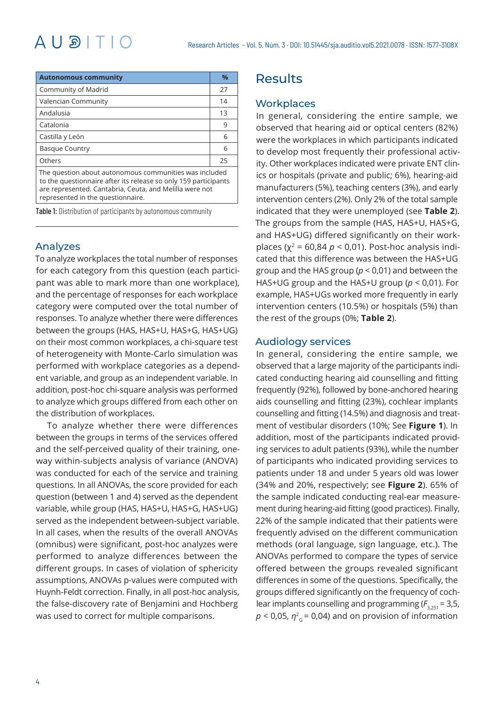# $AUBITIO$

| <b>Autonomous community</b>                                                                                                                                                                                               | $\frac{9}{6}$ |  |  |  |
|---------------------------------------------------------------------------------------------------------------------------------------------------------------------------------------------------------------------------|---------------|--|--|--|
| Community of Madrid                                                                                                                                                                                                       | 27            |  |  |  |
| Valencian Community                                                                                                                                                                                                       | 14            |  |  |  |
| Andalusia                                                                                                                                                                                                                 | 13            |  |  |  |
| Catalonia                                                                                                                                                                                                                 | 9             |  |  |  |
| Castilla y León                                                                                                                                                                                                           | 6             |  |  |  |
| <b>Basque Country</b>                                                                                                                                                                                                     | 6             |  |  |  |
| Others                                                                                                                                                                                                                    | 25            |  |  |  |
| The question about autonomous communities was included<br>to the questionnaire after its release so only 159 participants<br>are represented. Cantabria, Ceuta, and Melilla were not<br>represented in the questionnaire. |               |  |  |  |

Table 1: Distribution of participants by autonomous community

## Analyzes

To analyze workplaces the total number of responses for each category from this question (each participant was able to mark more than one workplace), and the percentage of responses for each workplace category were computed over the total number of responses. To analyze whether there were differences between the groups (HAS, HAS+U, HAS+G, HAS+UG) on their most common workplaces, a chi-square test of heterogeneity with Monte-Carlo simulation was performed with workplace categories as a dependent variable, and group as an independent variable. In addition, post-hoc chi-square analysis was performed to analyze which groups differed from each other on the distribution of workplaces.

To analyze whether there were differences between the groups in terms of the services offered and the self-perceived quality of their training, oneway within-subjects analysis of variance (ANOVA) was conducted for each of the service and training questions. In all ANOVAs, the score provided for each question (between 1 and 4) served as the dependent variable, while group (HAS, HAS+U, HAS+G, HAS+UG) served as the independent between-subject variable. In all cases, when the results of the overall ANOVAs (omnibus) were significant, post-hoc analyzes were performed to analyze differences between the different groups. In cases of violation of sphericity assumptions, ANOVAs p-values were computed with Huynh-Feldt correction. Finally, in all post-hoc analysis, the false-discovery rate of Benjamini and Hochberg was used to correct for multiple comparisons.

# **Results**

### **Workplaces**

In general, considering the entire sample, we observed that hearing aid or optical centers (82%) were the workplaces in which participants indicated to develop most frequently their professional activity. Other workplaces indicated were private ENT clinics or hospitals (private and public; 6%), hearing-aid manufacturers (5%), teaching centers (3%), and early intervention centers (2%). Only 2% of the total sample indicated that they were unemployed (see **Table 2**). The groups from the sample (HAS, HAS+U, HAS+G, and HAS+UG) differed significantly on their workplaces ( $\chi^2$  = 60,84  $p$  < 0,01). Post-hoc analysis indicated that this difference was between the HAS+UG group and the HAS group (*p* < 0,01) and between the HAS+UG group and the HAS+U group (*p* < 0,01). For example, HAS+UGs worked more frequently in early intervention centers (10.5%) or hospitals (5%) than the rest of the groups (0%; **Table 2**).

### Audiology services

In general, considering the entire sample, we observed that a large majority of the participants indicated conducting hearing aid counselling and fitting frequently (92%), followed by bone-anchored hearing aids counselling and fitting (23%), cochlear implants counselling and fitting (14.5%) and diagnosis and treatment of vestibular disorders (10%; See **Figure 1**). In addition, most of the participants indicated providing services to adult patients (93%), while the number of participants who indicated providing services to patients under 18 and under 5 years old was lower (34% and 20%, respectively; see **Figure 2**). 65% of the sample indicated conducting real-ear measurement during hearing-aid fitting (good practices). Finally, 22% of the sample indicated that their patients were frequently advised on the different communication methods (oral language, sign language, etc.). The ANOVAs performed to compare the types of service offered between the groups revealed significant differences in some of the questions. Specifically, the groups differed significantly on the frequency of cochlear implants counselling and programming ( $F_{3,251}$  = 3,5,  $p < 0.05$ ,  $\eta_{G}^2 = 0.04$ ) and on provision of information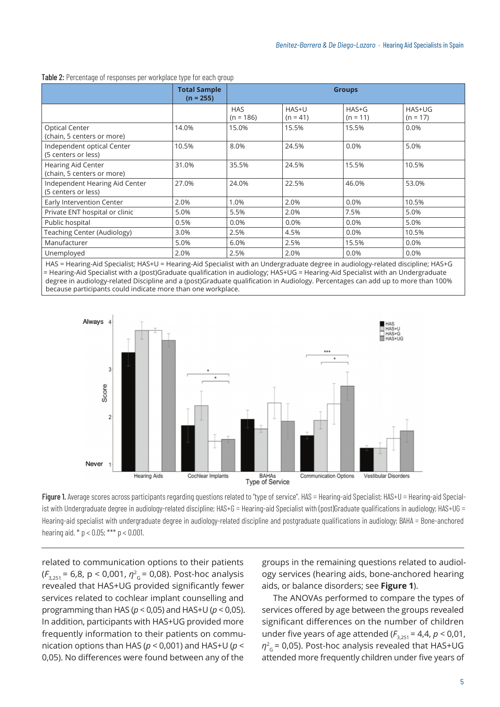|                                                       | <b>Total Sample</b><br>$(n = 255)$ | <b>Groups</b>             |                     |                       |                      |
|-------------------------------------------------------|------------------------------------|---------------------------|---------------------|-----------------------|----------------------|
|                                                       |                                    | <b>HAS</b><br>$(n = 186)$ | HAS+U<br>$(n = 41)$ | $HAS+G$<br>$(n = 11)$ | HAS+UG<br>$(n = 17)$ |
| <b>Optical Center</b><br>(chain, 5 centers or more)   | 14.0%                              | 15.0%                     | 15.5%               | 15.5%                 | 0.0%                 |
| Independent optical Center<br>(5 centers or less)     | 10.5%                              | 8.0%                      | 24.5%               | 0.0%                  | 5.0%                 |
| Hearing Aid Center<br>(chain, 5 centers or more)      | 31.0%                              | 35.5%                     | 24.5%               | 15.5%                 | 10.5%                |
| Independent Hearing Aid Center<br>(5 centers or less) | 27.0%                              | 24.0%                     | 22.5%               | 46.0%                 | 53.0%                |
| Early Intervention Center                             | 2.0%                               | 1.0%                      | 2.0%                | 0.0%                  | 10.5%                |
| Private ENT hospital or clinic                        | 5.0%                               | 5.5%                      | 2.0%                | 7.5%                  | 5.0%                 |
| Public hospital                                       | 0.5%                               | 0.0%                      | 0.0%                | 0.0%                  | 5.0%                 |
| Teaching Center (Audiology)                           | 3.0%                               | 2.5%                      | 4.5%                | 0.0%                  | 10.5%                |
| Manufacturer                                          | 5.0%                               | 6.0%                      | 2.5%                | 15.5%                 | 0.0%                 |
| Unemployed                                            | 2.0%                               | 2.5%                      | 2.0%                | 0.0%                  | 0.0%                 |

#### Table 2: Percentage of responses per workplace type for each group

HAS = Hearing-Aid Specialist; HAS+U = Hearing-Aid Specialist with an Undergraduate degree in audiology-related discipline; HAS+G = Hearing-Aid Specialist with a (post)Graduate qualification in audiology; HAS+UG = Hearing-Aid Specialist with an Undergraduate degree in audiology-related Discipline and a (post)Graduate qualification in Audiology. Percentages can add up to more than 100% because participants could indicate more than one workplace.



Figure 1. Average scores across participants regarding questions related to "type of service". HAS = Hearing-aid Specialist; HAS+U = Hearing-aid Specialist with Undergraduate degree in audiology-related discipline; HAS+G = Hearing-aid Specialist with (post)Graduate qualifications in audiology; HAS+UG = Hearing-aid specialist with undergraduate degree in audiology-related discipline and postgraduate qualifications in audiology; BAHA = Bone-anchored hearing aid.  $* p < 0.05$ ; \*\*\* p < 0.001.

related to communication options to their patients (*F*3,251 = 6,8, p < 0,001, *η*<sup>2</sup> <sup>G</sup>= 0,08). Post-hoc analysis revealed that HAS+UG provided significantly fewer services related to cochlear implant counselling and programming than HAS (*p* < 0,05) and HAS+U (*p* < 0,05). In addition, participants with HAS+UG provided more frequently information to their patients on communication options than HAS (*p* < 0,001) and HAS+U (*p* < 0,05). No differences were found between any of the

groups in the remaining questions related to audiology services (hearing aids, bone-anchored hearing aids, or balance disorders; see **Figure 1**).

The ANOVAs performed to compare the types of services offered by age between the groups revealed significant differences on the number of children under five years of age attended ( $F_{3,251}$  = 4,4,  $p < 0.01$ ,  $\eta^2$ <sub>G</sub> = 0,05). Post-hoc analysis revealed that HAS+UG attended more frequently children under five years of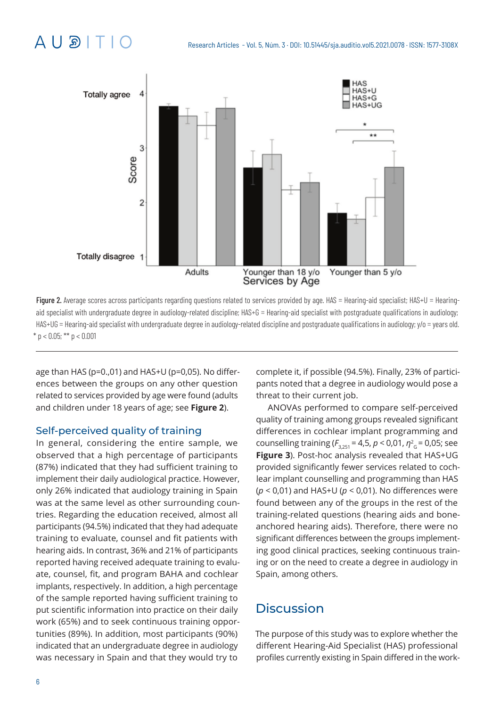

Figure 2. Average scores across participants regarding questions related to services provided by age. HAS = Hearing-aid specialist; HAS+U = Hearingaid specialist with undergraduate degree in audiology-related discipline; HAS+G = Hearing-aid specialist with postgraduate qualifications in audiology; HAS+UG = Hearing-aid specialist with undergraduate degree in audiology-related discipline and postgraduate qualifications in audiology; y/o = years old.  $*$  p < 0.05;  $**$  p < 0.001

age than HAS (p=0.,01) and HAS+U (p=0,05). No differences between the groups on any other question related to services provided by age were found (adults and children under 18 years of age; see **Figure 2**).

## Self-perceived quality of training

In general, considering the entire sample, we observed that a high percentage of participants (87%) indicated that they had sufficient training to implement their daily audiological practice. However, only 26% indicated that audiology training in Spain was at the same level as other surrounding countries. Regarding the education received, almost all participants (94.5%) indicated that they had adequate training to evaluate, counsel and fit patients with hearing aids. In contrast, 36% and 21% of participants reported having received adequate training to evaluate, counsel, fit, and program BAHA and cochlear implants, respectively. In addition, a high percentage of the sample reported having sufficient training to put scientific information into practice on their daily work (65%) and to seek continuous training opportunities (89%). In addition, most participants (90%) indicated that an undergraduate degree in audiology was necessary in Spain and that they would try to

complete it, if possible (94.5%). Finally, 23% of participants noted that a degree in audiology would pose a threat to their current job.

ANOVAs performed to compare self-perceived quality of training among groups revealed significant differences in cochlear implant programming and counselling training ( $F_{3,251}$  = 4,5,  $p < 0.01$ ,  $\eta_{G}^{2}$  = 0.05; see **Figure 3**). Post-hoc analysis revealed that HAS+UG provided significantly fewer services related to cochlear implant counselling and programming than HAS (*p* < 0,01) and HAS+U (*p* < 0,01). No differences were found between any of the groups in the rest of the training-related questions (hearing aids and boneanchored hearing aids). Therefore, there were no significant differences between the groups implementing good clinical practices, seeking continuous training or on the need to create a degree in audiology in Spain, among others.

# **Discussion**

The purpose of this study was to explore whether the different Hearing-Aid Specialist (HAS) professional profiles currently existing in Spain differed in the work-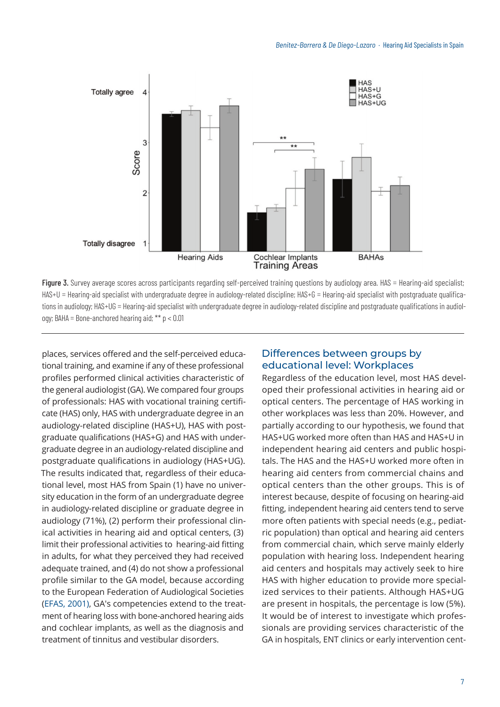

Figure 3. Survey average scores across participants regarding self-perceived training questions by audiology area. HAS = Hearing-aid specialist; HAS+U = Hearing-aid specialist with undergraduate degree in audiology-related discipline; HAS+G = Hearing-aid specialist with postgraduate qualifications in audiology; HAS+UG = Hearing-aid specialist with undergraduate degree in audiology-related discipline and postgraduate qualifications in audiology; BAHA = Bone-anchored hearing aid;  $** p < 0.01$ 

places, services offered and the self-perceived educational training, and examine if any of these professional profiles performed clinical activities characteristic of the general audiologist (GA). We compared four groups of professionals: HAS with vocational training certificate (HAS) only, HAS with undergraduate degree in an audiology-related discipline (HAS+U), HAS with postgraduate qualifications (HAS+G) and HAS with undergraduate degree in an audiology-related discipline and postgraduate qualifications in audiology (HAS+UG). The results indicated that, regardless of their educational level, most HAS from Spain (1) have no university education in the form of an undergraduate degree in audiology-related discipline or graduate degree in audiology (71%), (2) perform their professional clinical activities in hearing aid and optical centers, (3) limit their professional activities to hearing-aid fitting in adults, for what they perceived they had received adequate trained, and (4) do not show a professional profile similar to the GA model, because according to the European Federation of Audiological Societies (EFAS, 2001), GA's competencies extend to the treatment of hearing loss with bone-anchored hearing aids and cochlear implants, as well as the diagnosis and treatment of tinnitus and vestibular disorders.

# Differences between groups by educational level: Workplaces

Regardless of the education level, most HAS developed their professional activities in hearing aid or optical centers. The percentage of HAS working in other workplaces was less than 20%. However, and partially according to our hypothesis, we found that HAS+UG worked more often than HAS and HAS+U in independent hearing aid centers and public hospitals. The HAS and the HAS+U worked more often in hearing aid centers from commercial chains and optical centers than the other groups. This is of interest because, despite of focusing on hearing-aid fitting, independent hearing aid centers tend to serve more often patients with special needs (e.g., pediatric population) than optical and hearing aid centers from commercial chain, which serve mainly elderly population with hearing loss. Independent hearing aid centers and hospitals may actively seek to hire HAS with higher education to provide more specialized services to their patients. Although HAS+UG are present in hospitals, the percentage is low (5%). It would be of interest to investigate which professionals are providing services characteristic of the GA in hospitals, ENT clinics or early intervention cent-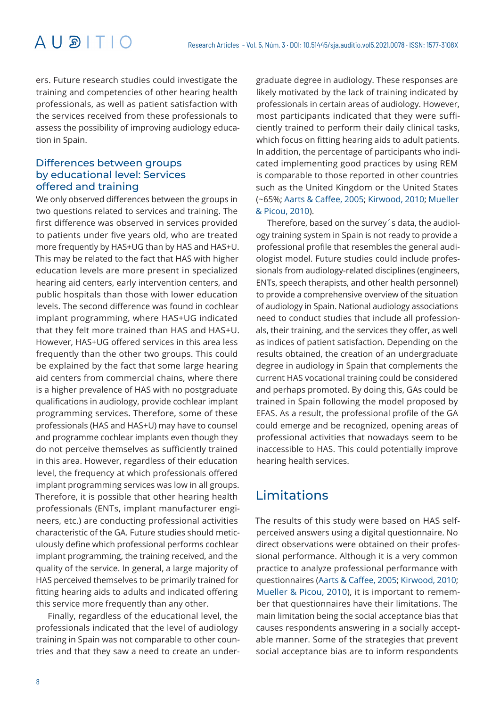# $A \cup B \cap T \cap C$

ers. Future research studies could investigate the training and competencies of other hearing health professionals, as well as patient satisfaction with the services received from these professionals to assess the possibility of improving audiology education in Spain.

# Differences between groups by educational level: Services offered and training

We only observed differences between the groups in two questions related to services and training. The first difference was observed in services provided to patients under five years old, who are treated more frequently by HAS+UG than by HAS and HAS+U. This may be related to the fact that HAS with higher education levels are more present in specialized hearing aid centers, early intervention centers, and public hospitals than those with lower education levels. The second difference was found in cochlear implant programming, where HAS+UG indicated that they felt more trained than HAS and HAS+U. However, HAS+UG offered services in this area less frequently than the other two groups. This could be explained by the fact that some large hearing aid centers from commercial chains, where there is a higher prevalence of HAS with no postgraduate qualifications in audiology, provide cochlear implant programming services. Therefore, some of these professionals (HAS and HAS+U) may have to counsel and programme cochlear implants even though they do not perceive themselves as sufficiently trained in this area. However, regardless of their education level, the frequency at which professionals offered implant programming services was low in all groups. Therefore, it is possible that other hearing health professionals (ENTs, implant manufacturer engineers, etc.) are conducting professional activities characteristic of the GA. Future studies should meticulously define which professional performs cochlear implant programming, the training received, and the quality of the service. In general, a large majority of HAS perceived themselves to be primarily trained for fitting hearing aids to adults and indicated offering this service more frequently than any other.

Finally, regardless of the educational level, the professionals indicated that the level of audiology training in Spain was not comparable to other countries and that they saw a need to create an under-

graduate degree in audiology. These responses are likely motivated by the lack of training indicated by professionals in certain areas of audiology. However, most participants indicated that they were sufficiently trained to perform their daily clinical tasks, which focus on fitting hearing aids to adult patients. In addition, the percentage of participants who indicated implementing good practices by using REM is comparable to those reported in other countries such as the United Kingdom or the United States (~65%; Aarts & Caffee, 2005; Kirwood, 2010; Mueller & Picou, 2010).

Therefore, based on the survey´s data, the audiology training system in Spain is not ready to provide a professional profile that resembles the general audiologist model. Future studies could include professionals from audiology-related disciplines (engineers, ENTs, speech therapists, and other health personnel) to provide a comprehensive overview of the situation of audiology in Spain. National audiology associations need to conduct studies that include all professionals, their training, and the services they offer, as well as indices of patient satisfaction. Depending on the results obtained, the creation of an undergraduate degree in audiology in Spain that complements the current HAS vocational training could be considered and perhaps promoted. By doing this, GAs could be trained in Spain following the model proposed by EFAS. As a result, the professional profile of the GA could emerge and be recognized, opening areas of professional activities that nowadays seem to be inaccessible to HAS. This could potentially improve hearing health services.

# Limitations

The results of this study were based on HAS selfperceived answers using a digital questionnaire. No direct observations were obtained on their professional performance. Although it is a very common practice to analyze professional performance with questionnaires (Aarts & Caffee, 2005; Kirwood, 2010; Mueller & Picou, 2010), it is important to remember that questionnaires have their limitations. The main limitation being the social acceptance bias that causes respondents answering in a socially acceptable manner. Some of the strategies that prevent social acceptance bias are to inform respondents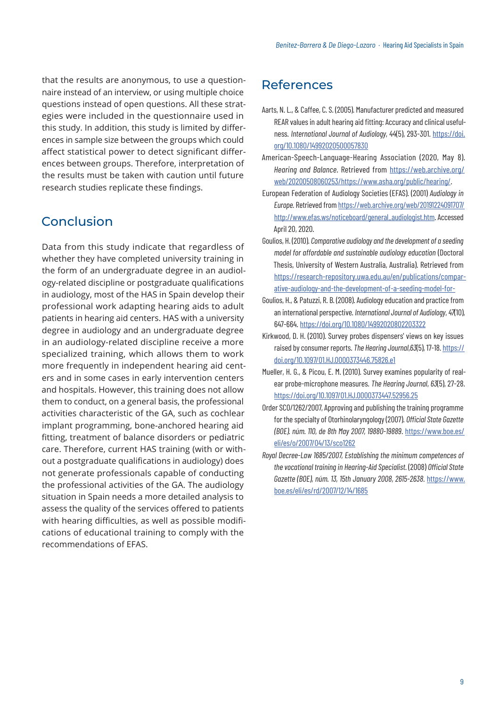that the results are anonymous, to use a questionnaire instead of an interview, or using multiple choice questions instead of open questions. All these strategies were included in the questionnaire used in this study. In addition, this study is limited by differences in sample size between the groups which could affect statistical power to detect significant differences between groups. Therefore, interpretation of the results must be taken with caution until future research studies replicate these findings.

# Conclusion

Data from this study indicate that regardless of whether they have completed university training in the form of an undergraduate degree in an audiology-related discipline or postgraduate qualifications in audiology, most of the HAS in Spain develop their professional work adapting hearing aids to adult patients in hearing aid centers. HAS with a university degree in audiology and an undergraduate degree in an audiology-related discipline receive a more specialized training, which allows them to work more frequently in independent hearing aid centers and in some cases in early intervention centers and hospitals. However, this training does not allow them to conduct, on a general basis, the professional activities characteristic of the GA, such as cochlear implant programming, bone-anchored hearing aid fitting, treatment of balance disorders or pediatric care. Therefore, current HAS training (with or without a postgraduate qualifications in audiology) does not generate professionals capable of conducting the professional activities of the GA. The audiology situation in Spain needs a more detailed analysis to assess the quality of the services offered to patients with hearing difficulties, as well as possible modifications of educational training to comply with the recommendations of EFAS.

# References

- Aarts, N. L., & Caffee, C. S. (2005). Manufacturer predicted and measured REAR values in adult hearing aid fitting: Accuracy and clinical usefulness. *International Journal of Audiology*, *44*(5), 293-301. [https://doi.](https://doi.org/10.1080/14992020500057830) [org/10.1080/14992020500057830](https://doi.org/10.1080/14992020500057830)
- American-Speech-Language-Hearing Association (2020, May 8). *Hearing and Balance*. Retrieved from [https://web.archive.org/](https://web.archive.org/web/20200508060253/https://www.asha.org/public/hearing/) [web/20200508060253/](https://web.archive.org/web/20200508060253/https://www.asha.org/public/hearing/)https://www.asha.org/public/hearing/.
- European Federation of Audiology Societies (EFAS). (2001) *Audiology in Europe.* Retrieved from [https://web.archive.org/web/20191224091707](https://web.archive.org/web/20191224091707/http://www.efas.ws/noticeboard/general_audiologist.htm)/ http://www.efas.ws/noticeboard/general\_audiologist.htm. Accessed April 20, 2020.
- Goulios, H. (2010). *Comparative audiology and the development of a seeding model for affordable and sustainable audiology education* (Doctoral Thesis, University of Western Australia, Australia). Retrieved from [https://research-repository.uwa.edu.au/en/publications/compar](https://research-repository.uwa.edu.au/en/publications/comparative-audiology-and-the-development-of-a-seeding-model-for-)[ative-audiology-and-the-development-of-a-seeding-model-for](https://research-repository.uwa.edu.au/en/publications/comparative-audiology-and-the-development-of-a-seeding-model-for-)-
- Goulios, H., & Patuzzi, R. B. (2008). Audiology education and practice from an international perspective. *International Journal of Audiology*, *47*(10), 647-664.<https://doi.org/10.1080/14992020802203322>
- Kirkwood, D. H. (2010). Survey probes dispensers' views on key issues raised by consumer reports. *The Hearing Journal*,*63*(5), 17-18. [https://](https://doi.org/10.1097/01.HJ.0000373446.75826.e1) [doi.org/10.1097/01.HJ.0000373446.75826.e1](https://doi.org/10.1097/01.HJ.0000373446.75826.e1)
- Mueller, H. G., & Picou, E. M. (2010). Survey examines popularity of realear probe-microphone measures. *The Hearing Journal*, *63*(5), 27-28. <https://doi.org/10.1097/01.HJ.0000373447.52956.25>
- Order SCO/1262/2007, Approving and publishing the training programme for the specialty of Otorhinolaryngology (2007). *Official State Gazette (BOE). núm. 110, de 8th May 2007, 19880-19889*. [https://www.boe.es/](https://www.boe.es/eli/es/o/2007/04/13/sco1262) [eli/es/o/2007/04/13/sco1262](https://www.boe.es/eli/es/o/2007/04/13/sco1262)
- *Royal Decree-Law 1685/2007, Establishing the minimum competences of the vocational training in Hearing-Aid Specialist*. (2008) *Official State Gazette (BOE), núm. 13, 15th January 2008, 2615-2638.* [https://www.](https://www.boe.es/eli/es/rd/2007/12/14/1685) [boe.es/eli/es/rd/2007/12/14/1685](https://www.boe.es/eli/es/rd/2007/12/14/1685)